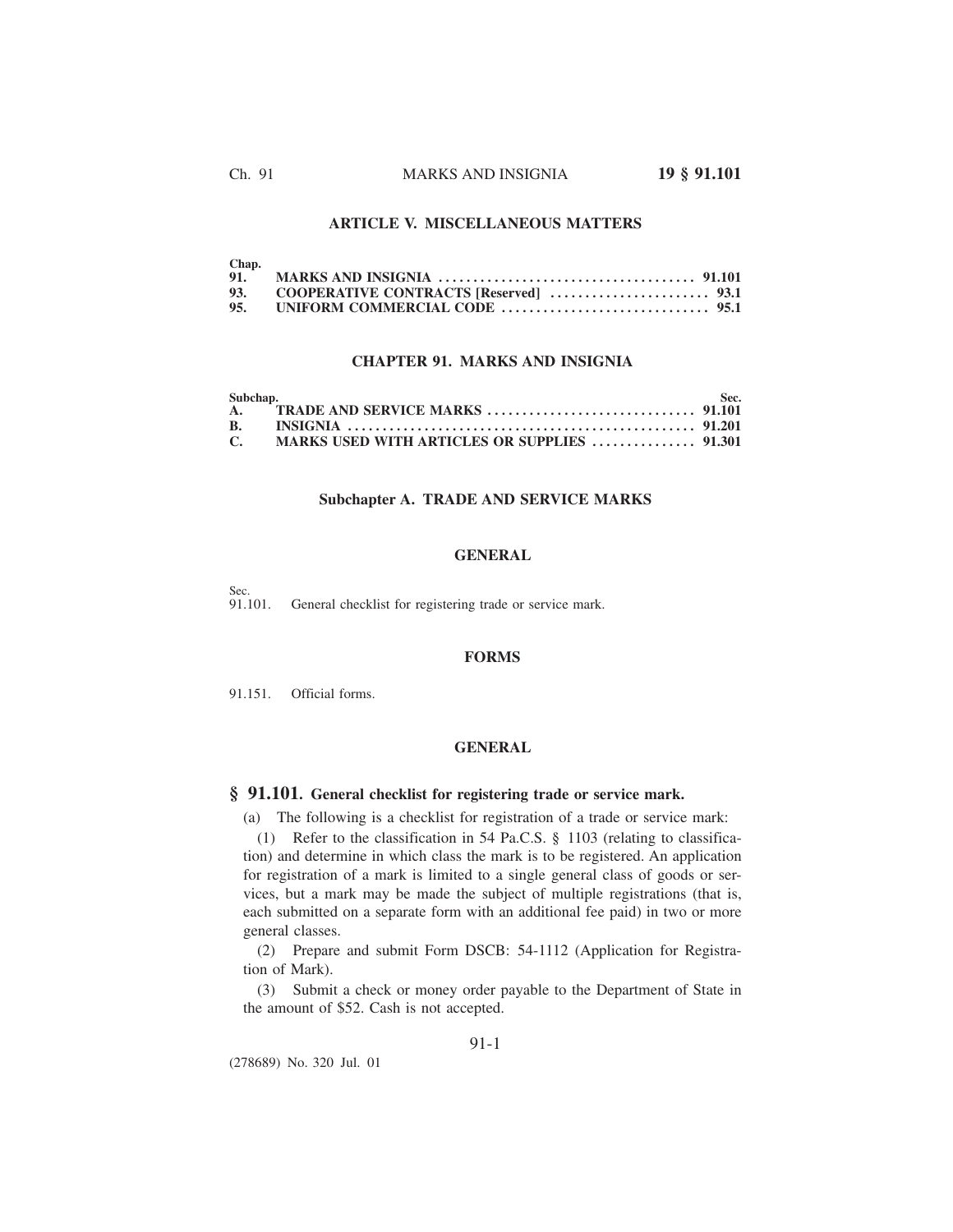# **ARTICLE V. MISCELLANEOUS MATTERS**

| Chap. |  |
|-------|--|
|       |  |
|       |  |
|       |  |

### **CHAPTER 91. MARKS AND INSIGNIA**

| Subchap.     |  | -Sec. |
|--------------|--|-------|
|              |  |       |
|              |  |       |
| $\mathbf{C}$ |  |       |

### **Subchapter A. TRADE AND SERVICE MARKS**

### **GENERAL**

Sec.<br>91.101. General checklist for registering trade or service mark.

### **FORMS**

91.151. Official forms.

#### **GENERAL**

# **§ 91.101. General checklist for registering trade or service mark.**

(a) The following is a checklist for registration of a trade or service mark:

(1) Refer to the classification in 54 Pa.C.S. § 1103 (relating to classification) and determine in which class the mark is to be registered. An application for registration of a mark is limited to a single general class of goods or services, but a mark may be made the subject of multiple registrations (that is, each submitted on a separate form with an additional fee paid) in two or more general classes.

(2) Prepare and submit Form DSCB: 54-1112 (Application for Registration of Mark).

(3) Submit a check or money order payable to the Department of State in the amount of \$52. Cash is not accepted.

(278689) No. 320 Jul. 01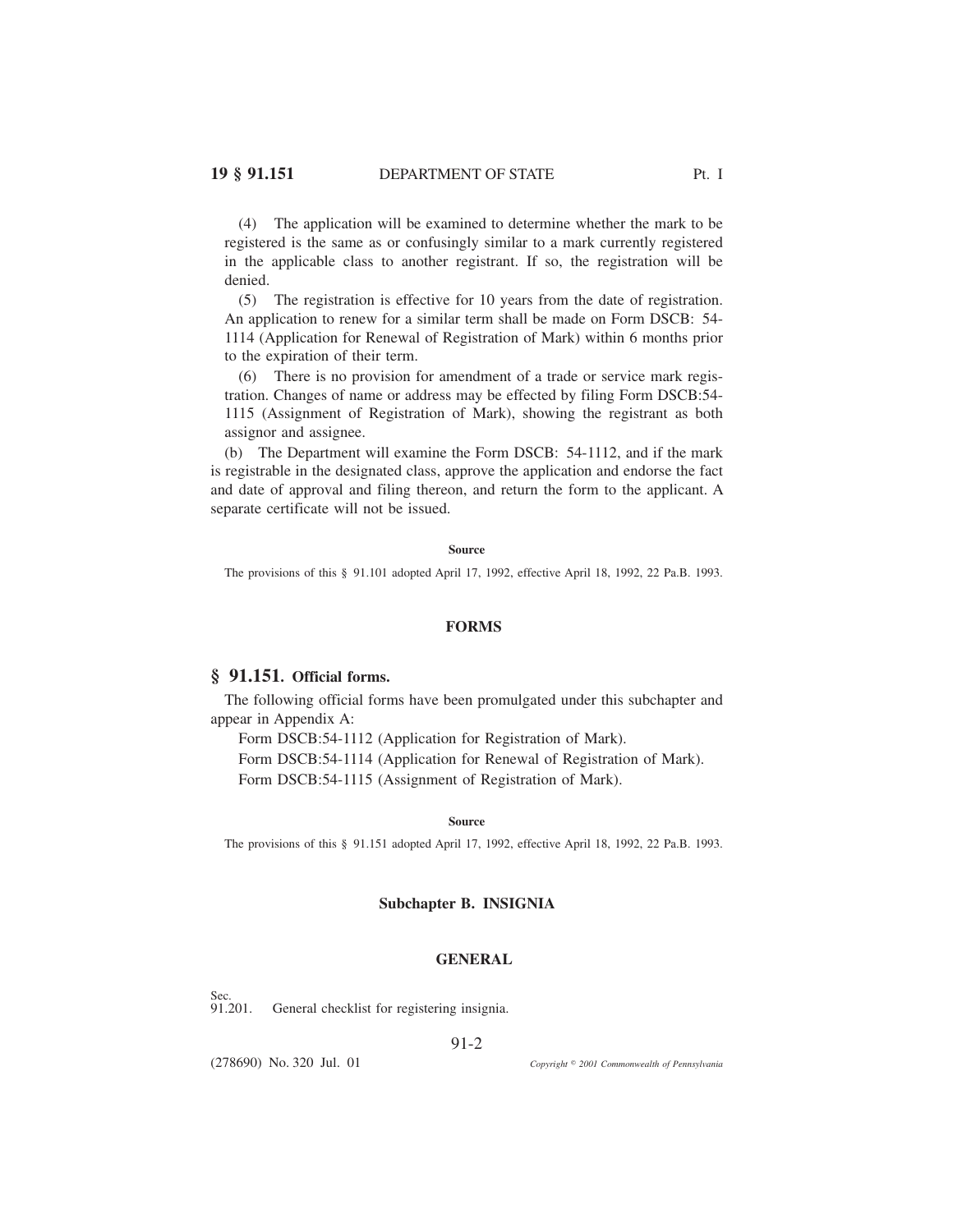(4) The application will be examined to determine whether the mark to be registered is the same as or confusingly similar to a mark currently registered in the applicable class to another registrant. If so, the registration will be denied.

(5) The registration is effective for 10 years from the date of registration. An application to renew for a similar term shall be made on Form DSCB: 54- 1114 (Application for Renewal of Registration of Mark) within 6 months prior to the expiration of their term.

(6) There is no provision for amendment of a trade or service mark registration. Changes of name or address may be effected by filing Form DSCB:54- 1115 (Assignment of Registration of Mark), showing the registrant as both assignor and assignee.

(b) The Department will examine the Form DSCB: 54-1112, and if the mark is registrable in the designated class, approve the application and endorse the fact and date of approval and filing thereon, and return the form to the applicant. A separate certificate will not be issued.

**Source**

The provisions of this § 91.101 adopted April 17, 1992, effective April 18, 1992, 22 Pa.B. 1993.

#### **FORMS**

### **§ 91.151. Official forms.**

The following official forms have been promulgated under this subchapter and appear in Appendix A:

Form DSCB:54-1112 (Application for Registration of Mark). Form DSCB:54-1114 (Application for Renewal of Registration of Mark). Form DSCB:54-1115 (Assignment of Registration of Mark).

**Source**

The provisions of this § 91.151 adopted April 17, 1992, effective April 18, 1992, 22 Pa.B. 1993.

### **Subchapter B. INSIGNIA**

### **GENERAL**

Sec.<br>91.201. General checklist for registering insignia.

#### 91-2

(278690) No. 320 Jul. 01

*2001 Commonwealth of Pennsylvania*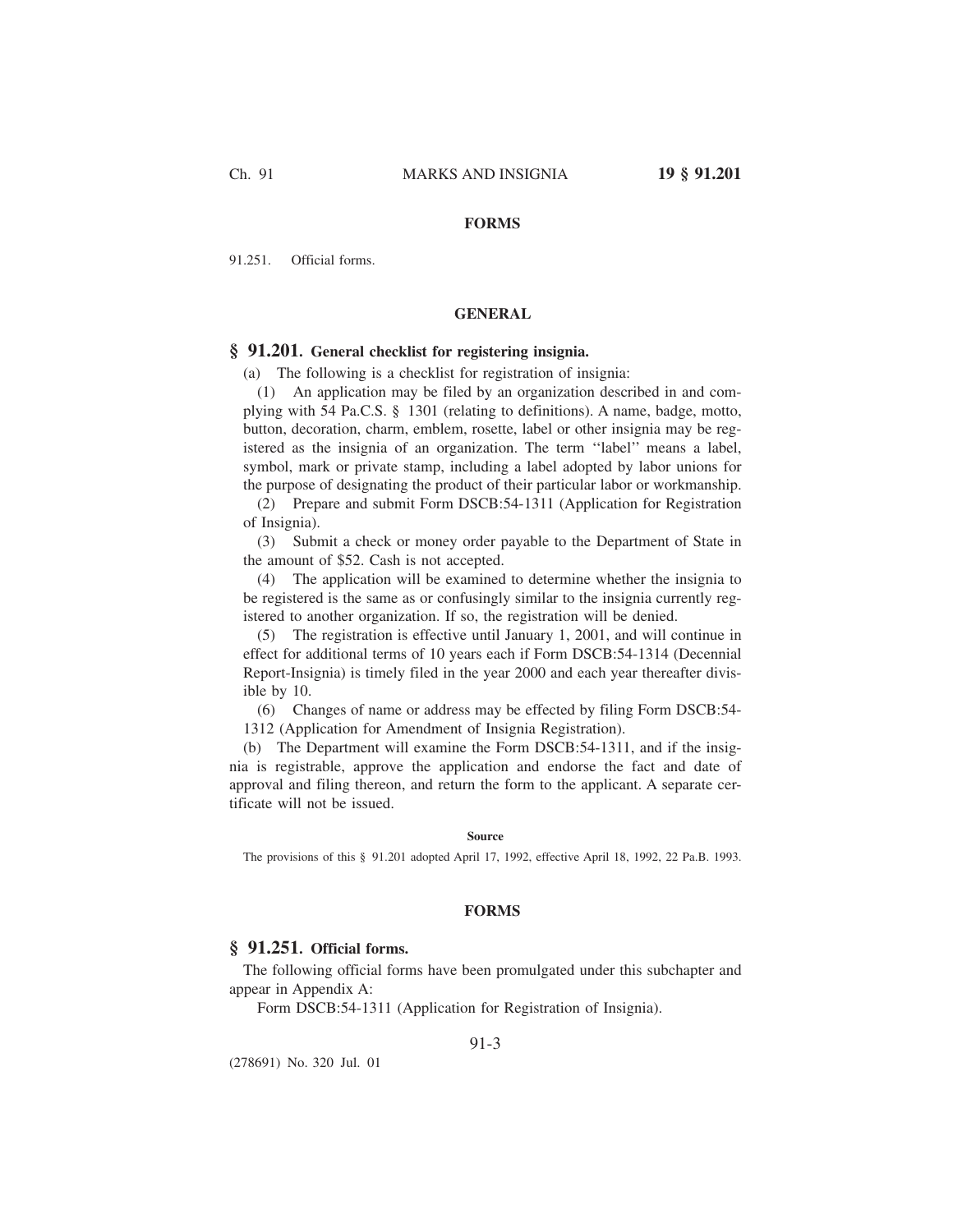# **FORMS**

91.251. Official forms.

### **GENERAL**

# **§ 91.201. General checklist for registering insignia.**

(a) The following is a checklist for registration of insignia:

(1) An application may be filed by an organization described in and complying with 54 Pa.C.S. § 1301 (relating to definitions). A name, badge, motto, button, decoration, charm, emblem, rosette, label or other insignia may be registered as the insignia of an organization. The term ''label'' means a label, symbol, mark or private stamp, including a label adopted by labor unions for the purpose of designating the product of their particular labor or workmanship.

(2) Prepare and submit Form DSCB:54-1311 (Application for Registration of Insignia).

(3) Submit a check or money order payable to the Department of State in the amount of \$52. Cash is not accepted.

(4) The application will be examined to determine whether the insignia to be registered is the same as or confusingly similar to the insignia currently registered to another organization. If so, the registration will be denied.

(5) The registration is effective until January 1, 2001, and will continue in effect for additional terms of 10 years each if Form DSCB:54-1314 (Decennial Report-Insignia) is timely filed in the year 2000 and each year thereafter divisible by 10.

(6) Changes of name or address may be effected by filing Form DSCB:54- 1312 (Application for Amendment of Insignia Registration).

(b) The Department will examine the Form DSCB:54-1311, and if the insignia is registrable, approve the application and endorse the fact and date of approval and filing thereon, and return the form to the applicant. A separate certificate will not be issued.

#### **Source**

The provisions of this § 91.201 adopted April 17, 1992, effective April 18, 1992, 22 Pa.B. 1993.

#### **FORMS**

# **§ 91.251. Official forms.**

The following official forms have been promulgated under this subchapter and appear in Appendix A:

Form DSCB:54-1311 (Application for Registration of Insignia).

(278691) No. 320 Jul. 01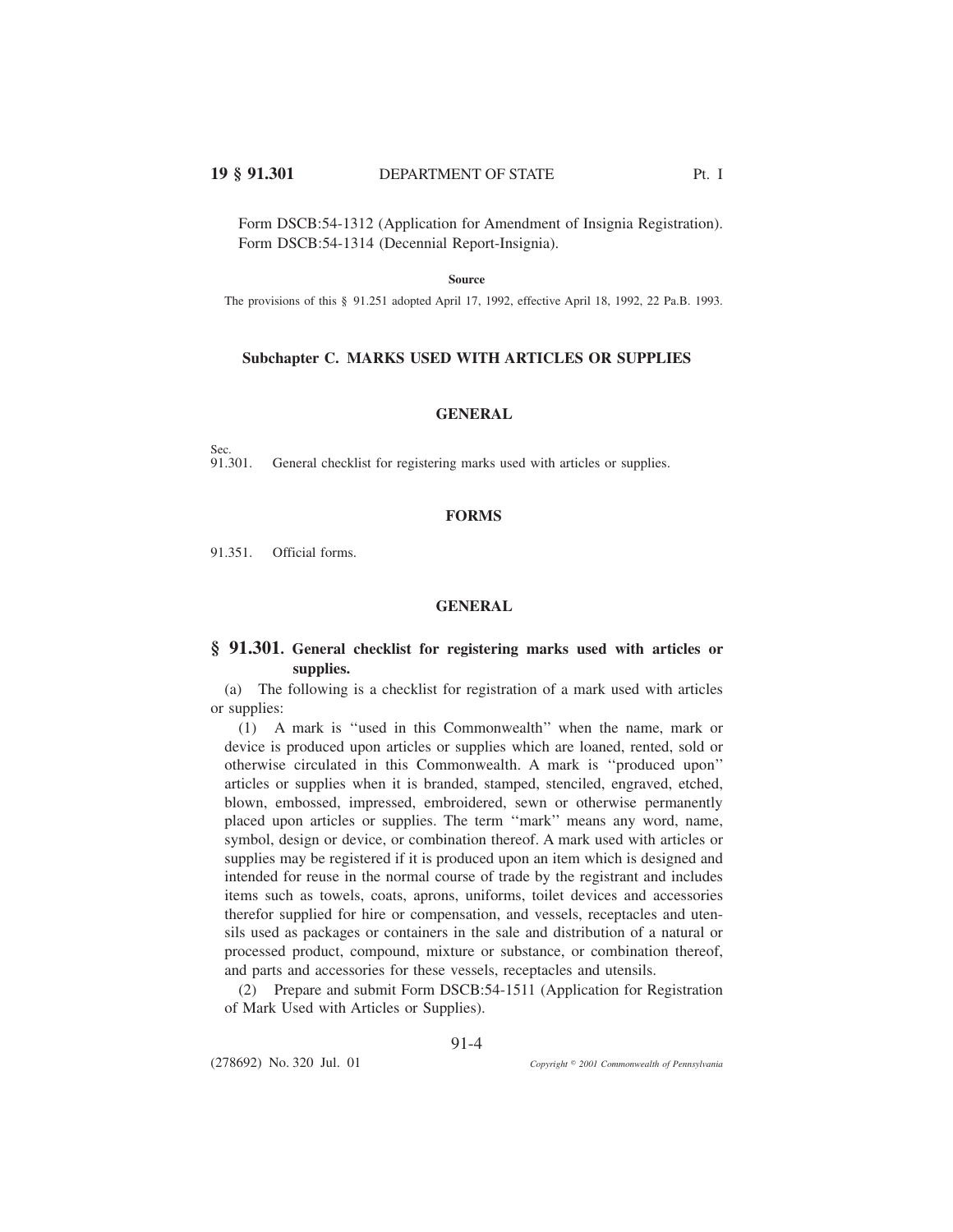Form DSCB:54-1312 (Application for Amendment of Insignia Registration). Form DSCB:54-1314 (Decennial Report-Insignia).

#### **Source**

The provisions of this § 91.251 adopted April 17, 1992, effective April 18, 1992, 22 Pa.B. 1993.

### **Subchapter C. MARKS USED WITH ARTICLES OR SUPPLIES**

#### **GENERAL**

Sec.<br>91.301. General checklist for registering marks used with articles or supplies.

#### **FORMS**

91.351. Official forms.

#### **GENERAL**

# **§ 91.301. General checklist for registering marks used with articles or supplies.**

(a) The following is a checklist for registration of a mark used with articles or supplies:

(1) A mark is ''used in this Commonwealth'' when the name, mark or device is produced upon articles or supplies which are loaned, rented, sold or otherwise circulated in this Commonwealth. A mark is ''produced upon'' articles or supplies when it is branded, stamped, stenciled, engraved, etched, blown, embossed, impressed, embroidered, sewn or otherwise permanently placed upon articles or supplies. The term ''mark'' means any word, name, symbol, design or device, or combination thereof. A mark used with articles or supplies may be registered if it is produced upon an item which is designed and intended for reuse in the normal course of trade by the registrant and includes items such as towels, coats, aprons, uniforms, toilet devices and accessories therefor supplied for hire or compensation, and vessels, receptacles and utensils used as packages or containers in the sale and distribution of a natural or processed product, compound, mixture or substance, or combination thereof, and parts and accessories for these vessels, receptacles and utensils.

(2) Prepare and submit Form DSCB:54-1511 (Application for Registration of Mark Used with Articles or Supplies).

91-4

(278692) No. 320 Jul. 01

*2001 Commonwealth of Pennsylvania*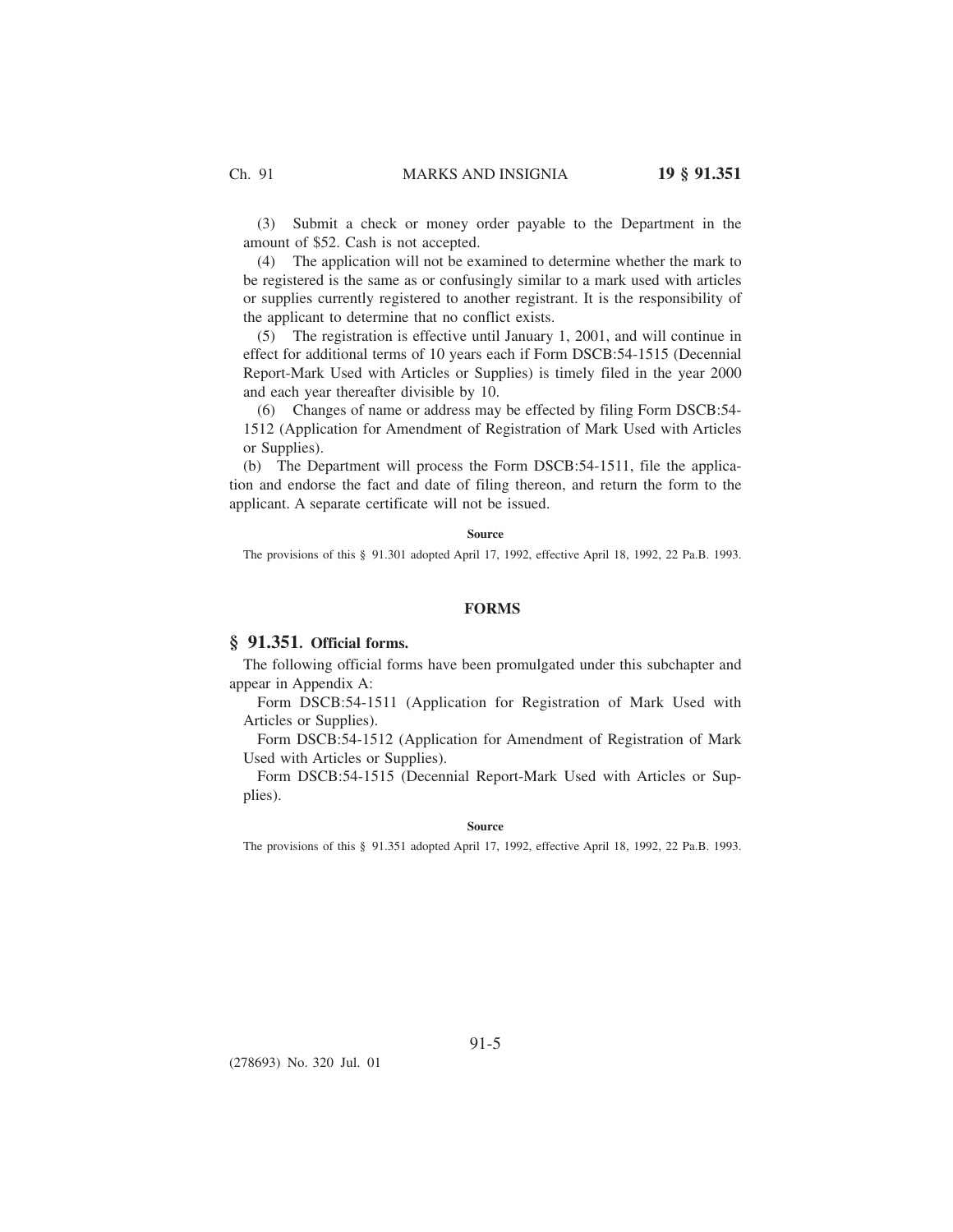(3) Submit a check or money order payable to the Department in the amount of \$52. Cash is not accepted.

(4) The application will not be examined to determine whether the mark to be registered is the same as or confusingly similar to a mark used with articles or supplies currently registered to another registrant. It is the responsibility of the applicant to determine that no conflict exists.

(5) The registration is effective until January 1, 2001, and will continue in effect for additional terms of 10 years each if Form DSCB:54-1515 (Decennial Report-Mark Used with Articles or Supplies) is timely filed in the year 2000 and each year thereafter divisible by 10.

(6) Changes of name or address may be effected by filing Form DSCB:54- 1512 (Application for Amendment of Registration of Mark Used with Articles or Supplies).

(b) The Department will process the Form DSCB:54-1511, file the application and endorse the fact and date of filing thereon, and return the form to the applicant. A separate certificate will not be issued.

#### **Source**

The provisions of this § 91.301 adopted April 17, 1992, effective April 18, 1992, 22 Pa.B. 1993.

# **FORMS**

### **§ 91.351. Official forms.**

The following official forms have been promulgated under this subchapter and appear in Appendix A:

Form DSCB:54-1511 (Application for Registration of Mark Used with Articles or Supplies).

Form DSCB:54-1512 (Application for Amendment of Registration of Mark Used with Articles or Supplies).

Form DSCB:54-1515 (Decennial Report-Mark Used with Articles or Supplies).

#### **Source**

The provisions of this § 91.351 adopted April 17, 1992, effective April 18, 1992, 22 Pa.B. 1993.

(278693) No. 320 Jul. 01